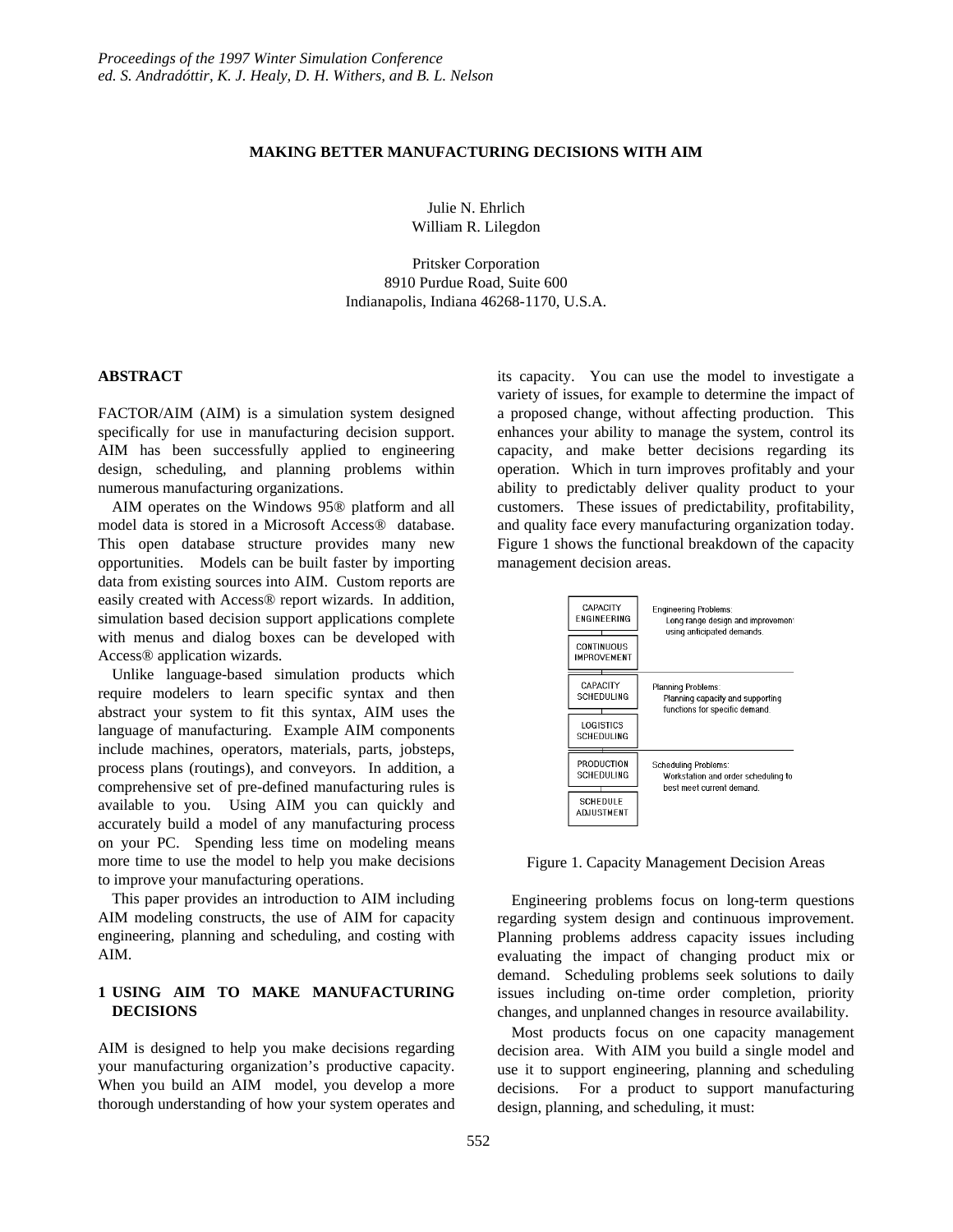## **MAKING BETTER MANUFACTURING DECISIONS WITH AIM**

Julie N. Ehrlich William R. Lilegdon

Pritsker Corporation 8910 Purdue Road, Suite 600 Indianapolis, Indiana 46268-1170, U.S.A.

## **ABSTRACT**

FACTOR/AIM (AIM) is a simulation system designed specifically for use in manufacturing decision support. AIM has been successfully applied to engineering design, scheduling, and planning problems within numerous manufacturing organizations.

AIM operates on the Windows 95® platform and all model data is stored in a Microsoft Access® database. This open database structure provides many new opportunities. Models can be built faster by importing data from existing sources into AIM. Custom reports are easily created with Access® report wizards. In addition, simulation based decision support applications complete with menus and dialog boxes can be developed with Access® application wizards.

Unlike language-based simulation products which require modelers to learn specific syntax and then abstract your system to fit this syntax, AIM uses the language of manufacturing. Example AIM components include machines, operators, materials, parts, jobsteps, process plans (routings), and conveyors. In addition, a comprehensive set of pre-defined manufacturing rules is available to you. Using AIM you can quickly and accurately build a model of any manufacturing process on your PC. Spending less time on modeling means more time to use the model to help you make decisions to improve your manufacturing operations.

This paper provides an introduction to AIM including AIM modeling constructs, the use of AIM for capacity engineering, planning and scheduling, and costing with AIM.

# **1 USING AIM TO MAKE MANUFACTURING DECISIONS**

AIM is designed to help you make decisions regarding your manufacturing organization's productive capacity. When you build an AIM model, you develop a more thorough understanding of how your system operates and

its capacity. You can use the model to investigate a variety of issues, for example to determine the impact of a proposed change, without affecting production. This enhances your ability to manage the system, control its capacity, and make better decisions regarding its operation. Which in turn improves profitably and your ability to predictably deliver quality product to your customers. These issues of predictability, profitability, and quality face every manufacturing organization today. Figure 1 shows the functional breakdown of the capacity management decision areas.

| CAPACITY<br><b>ENGINEERING</b>       | Engineering Problems:<br>Long range design and improvement<br>using anticipated demands. |  |
|--------------------------------------|------------------------------------------------------------------------------------------|--|
| CONTINUOUS<br><b>IMPROVEMENT</b>     |                                                                                          |  |
| CAPACITY<br><b>SCHEDULING</b>        | Planning Problems:<br>Planning capacity and supporting<br>functions for specific demand. |  |
| LOGISTICS<br>SCHEDULING              |                                                                                          |  |
| <b>PRODUCTION</b><br>SCHEDULING      | Scheduling Problems:<br>Workstation and order scheduling to<br>best meet current demand  |  |
| <b>SCHEDULE</b><br><b>ADJUSTMENT</b> |                                                                                          |  |

Figure 1. Capacity Management Decision Areas

Engineering problems focus on long-term questions regarding system design and continuous improvement. Planning problems address capacity issues including evaluating the impact of changing product mix or demand. Scheduling problems seek solutions to daily issues including on-time order completion, priority changes, and unplanned changes in resource availability.

Most products focus on one capacity management decision area. With AIM you build a single model and use it to support engineering, planning and scheduling decisions. For a product to support manufacturing design, planning, and scheduling, it must: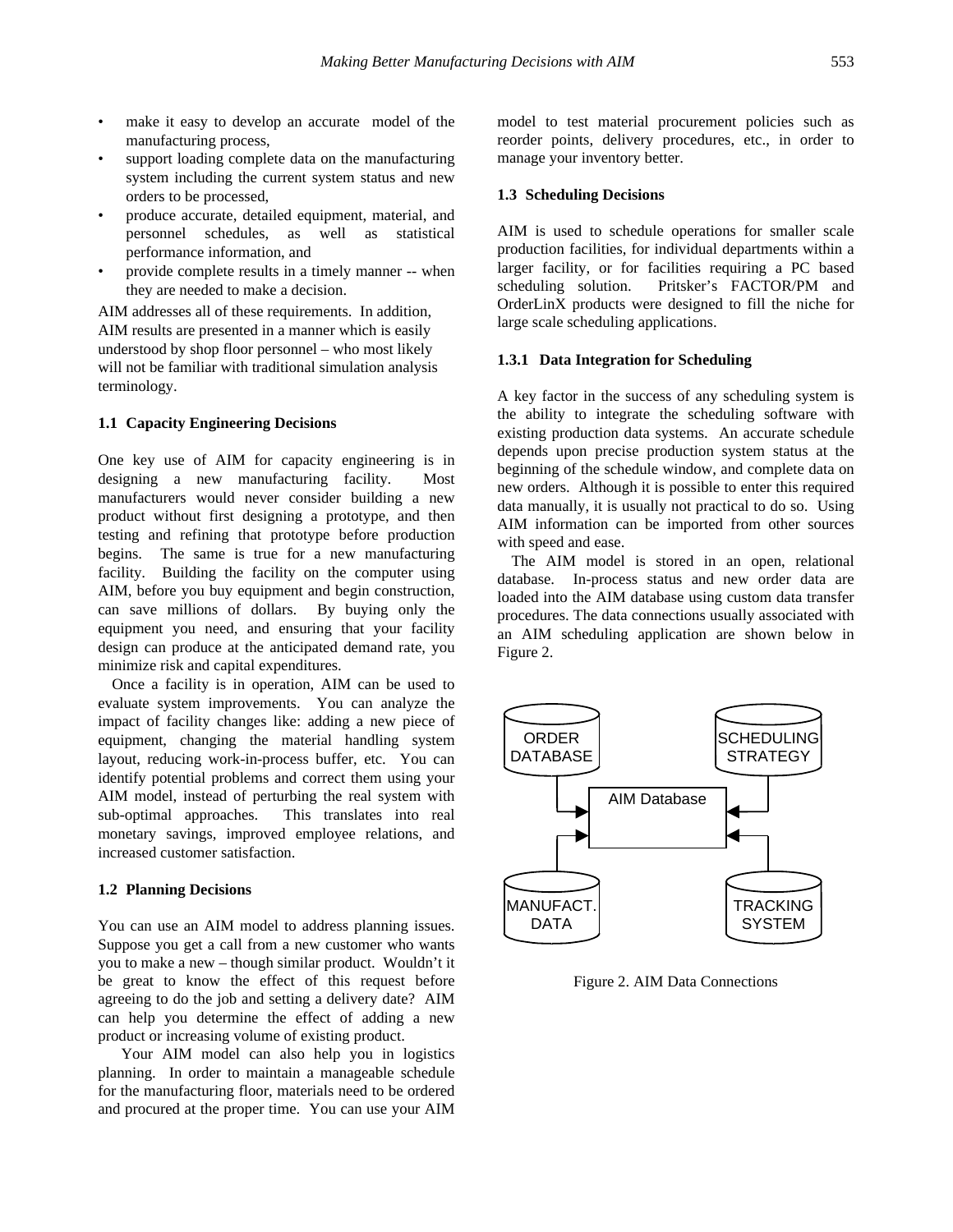- make it easy to develop an accurate model of the manufacturing process,
- support loading complete data on the manufacturing system including the current system status and new orders to be processed,
- produce accurate, detailed equipment, material, and personnel schedules, as well as statistical performance information, and
- provide complete results in a timely manner -- when they are needed to make a decision.

AIM addresses all of these requirements. In addition, AIM results are presented in a manner which is easily understood by shop floor personnel – who most likely will not be familiar with traditional simulation analysis terminology.

#### **1.1 Capacity Engineering Decisions**

One key use of AIM for capacity engineering is in designing a new manufacturing facility. Most manufacturers would never consider building a new product without first designing a prototype, and then testing and refining that prototype before production begins. The same is true for a new manufacturing facility. Building the facility on the computer using AIM, before you buy equipment and begin construction, can save millions of dollars. By buying only the equipment you need, and ensuring that your facility design can produce at the anticipated demand rate, you minimize risk and capital expenditures.

Once a facility is in operation, AIM can be used to evaluate system improvements. You can analyze the impact of facility changes like: adding a new piece of equipment, changing the material handling system layout, reducing work-in-process buffer, etc. You can identify potential problems and correct them using your AIM model, instead of perturbing the real system with sub-optimal approaches. This translates into real monetary savings, improved employee relations, and increased customer satisfaction.

#### **1.2 Planning Decisions**

You can use an AIM model to address planning issues. Suppose you get a call from a new customer who wants you to make a new – though similar product. Wouldn't it be great to know the effect of this request before agreeing to do the job and setting a delivery date? AIM can help you determine the effect of adding a new product or increasing volume of existing product.

 Your AIM model can also help you in logistics planning. In order to maintain a manageable schedule for the manufacturing floor, materials need to be ordered and procured at the proper time. You can use your AIM model to test material procurement policies such as reorder points, delivery procedures, etc., in order to manage your inventory better.

#### **1.3 Scheduling Decisions**

AIM is used to schedule operations for smaller scale production facilities, for individual departments within a larger facility, or for facilities requiring a PC based scheduling solution. Pritsker's FACTOR/PM and OrderLinX products were designed to fill the niche for large scale scheduling applications.

#### **1.3.1 Data Integration for Scheduling**

A key factor in the success of any scheduling system is the ability to integrate the scheduling software with existing production data systems. An accurate schedule depends upon precise production system status at the beginning of the schedule window, and complete data on new orders. Although it is possible to enter this required data manually, it is usually not practical to do so. Using AIM information can be imported from other sources with speed and ease.

The AIM model is stored in an open, relational database. In-process status and new order data are loaded into the AIM database using custom data transfer procedures. The data connections usually associated with an AIM scheduling application are shown below in Figure 2.



Figure 2. AIM Data Connections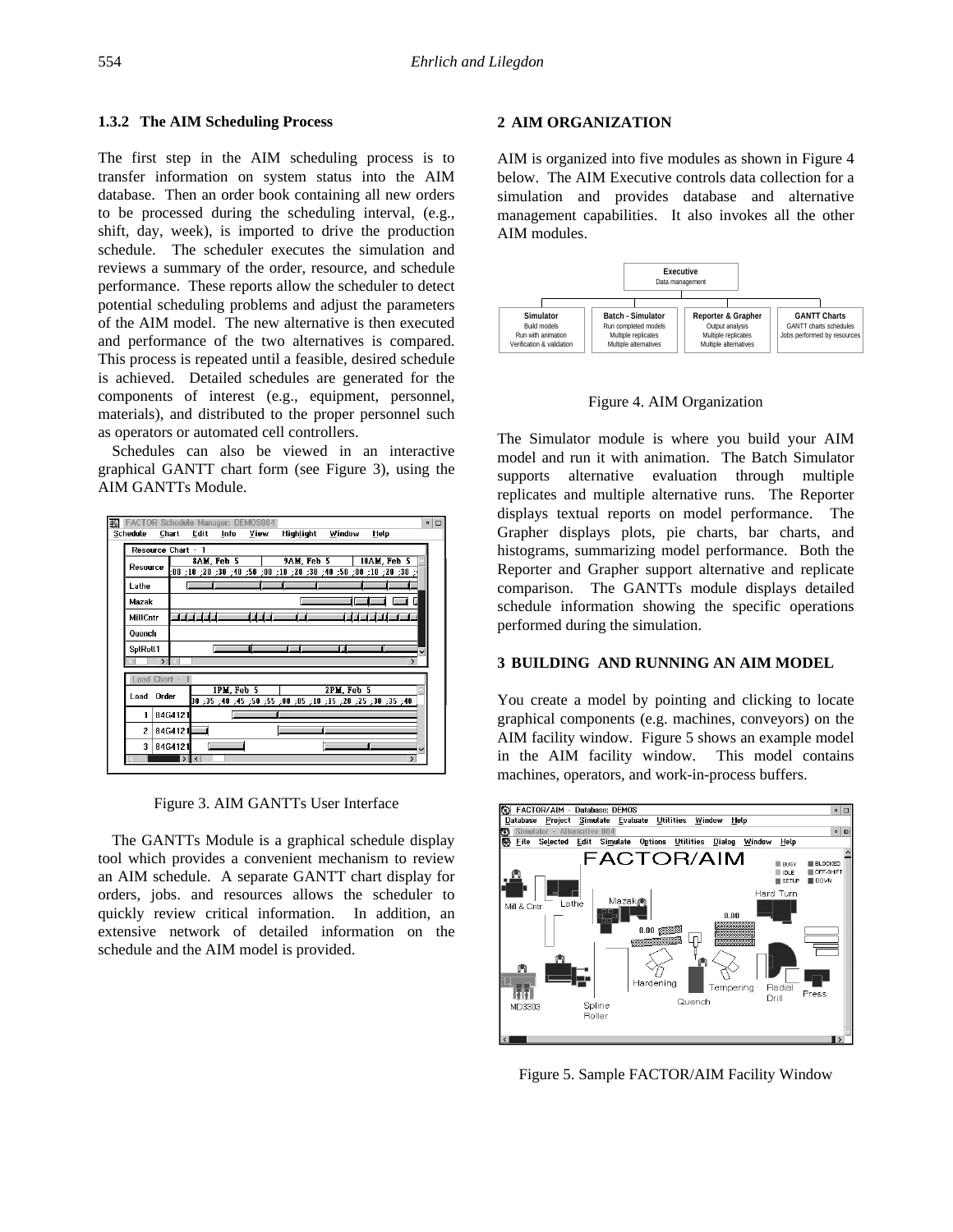### **1.3.2 The AIM Scheduling Process**

The first step in the AIM scheduling process is to transfer information on system status into the AIM database. Then an order book containing all new orders to be processed during the scheduling interval, (e.g., shift, day, week), is imported to drive the production schedule. The scheduler executes the simulation and reviews a summary of the order, resource, and schedule performance. These reports allow the scheduler to detect potential scheduling problems and adjust the parameters of the AIM model. The new alternative is then executed and performance of the two alternatives is compared. This process is repeated until a feasible, desired schedule is achieved. Detailed schedules are generated for the components of interest (e.g., equipment, personnel, materials), and distributed to the proper personnel such as operators or automated cell controllers.

Schedules can also be viewed in an interactive graphical GANTT chart form (see Figure 3), using the AIM GANTTs Module.



Figure 3. AIM GANTTs User Interface

The GANTTs Module is a graphical schedule display tool which provides a convenient mechanism to review an AIM schedule. A separate GANTT chart display for orders, jobs. and resources allows the scheduler to quickly review critical information. In addition, an extensive network of detailed information on the schedule and the AIM model is provided.

### **2 AIM ORGANIZATION**

AIM is organized into five modules as shown in Figure 4 below. The AIM Executive controls data collection for a simulation and provides database and alternative management capabilities. It also invokes all the other AIM modules.



Figure 4. AIM Organization

The Simulator module is where you build your AIM model and run it with animation. The Batch Simulator supports alternative evaluation through multiple replicates and multiple alternative runs. The Reporter displays textual reports on model performance. The Grapher displays plots, pie charts, bar charts, and histograms, summarizing model performance. Both the Reporter and Grapher support alternative and replicate comparison. The GANTTs module displays detailed schedule information showing the specific operations performed during the simulation.

## **3 BUILDING AND RUNNING AN AIM MODEL**

You create a model by pointing and clicking to locate graphical components (e.g. machines, conveyors) on the AIM facility window. Figure 5 shows an example model in the AIM facility window. This model contains machines, operators, and work-in-process buffers.



Figure 5. Sample FACTOR/AIM Facility Window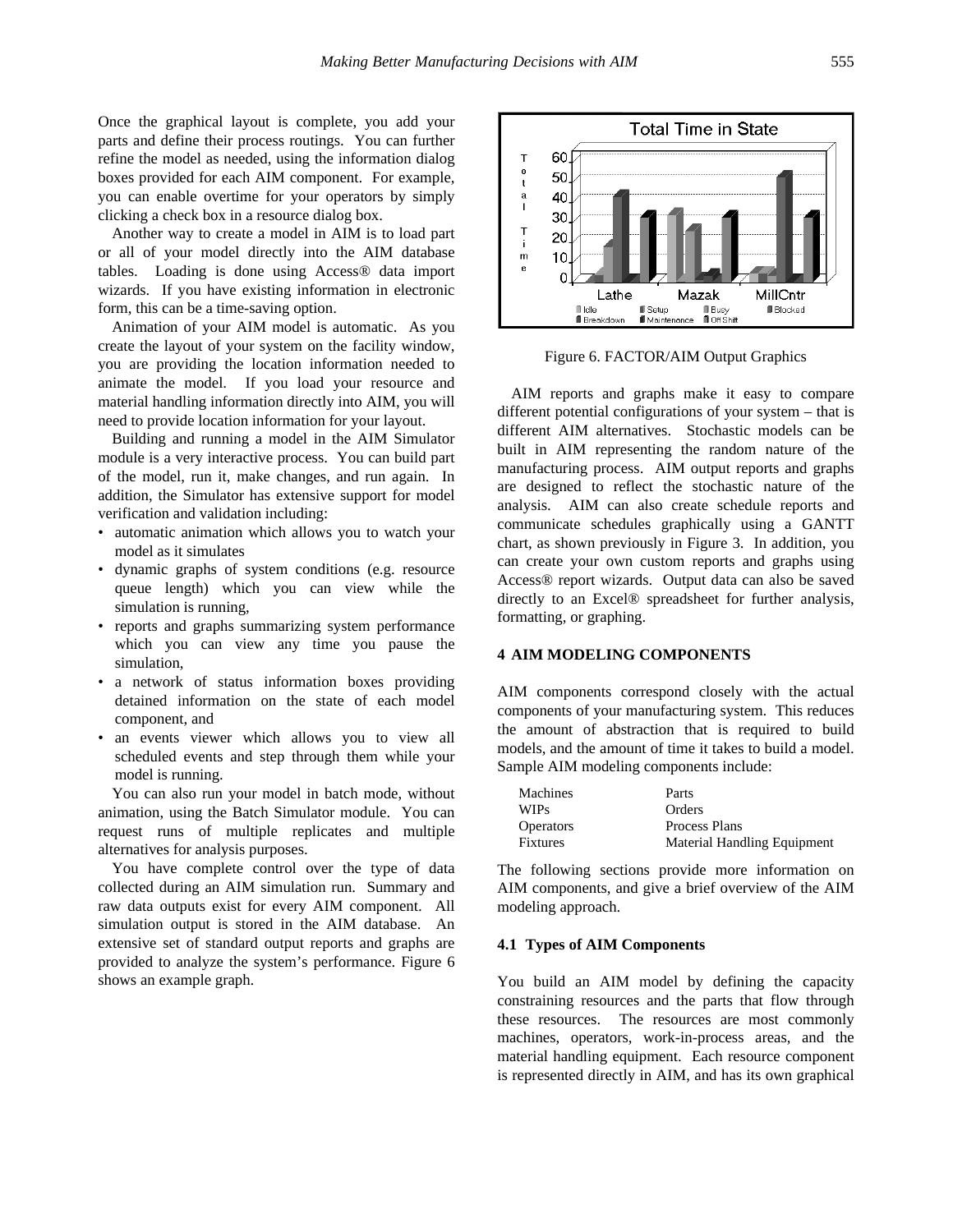Once the graphical layout is complete, you add your parts and define their process routings. You can further refine the model as needed, using the information dialog boxes provided for each AIM component. For example, you can enable overtime for your operators by simply clicking a check box in a resource dialog box.

Another way to create a model in AIM is to load part or all of your model directly into the AIM database tables. Loading is done using Access® data import wizards. If you have existing information in electronic form, this can be a time-saving option.

Animation of your AIM model is automatic. As you create the layout of your system on the facility window, you are providing the location information needed to animate the model. If you load your resource and material handling information directly into AIM, you will need to provide location information for your layout.

Building and running a model in the AIM Simulator module is a very interactive process. You can build part of the model, run it, make changes, and run again. In addition, the Simulator has extensive support for model verification and validation including:

- automatic animation which allows you to watch your model as it simulates
- dynamic graphs of system conditions (e.g. resource queue length) which you can view while the simulation is running,
- reports and graphs summarizing system performance which you can view any time you pause the simulation,
- a network of status information boxes providing detained information on the state of each model component, and
- an events viewer which allows you to view all scheduled events and step through them while your model is running.

You can also run your model in batch mode, without animation, using the Batch Simulator module. You can request runs of multiple replicates and multiple alternatives for analysis purposes.

You have complete control over the type of data collected during an AIM simulation run. Summary and raw data outputs exist for every AIM component. All simulation output is stored in the AIM database. An extensive set of standard output reports and graphs are provided to analyze the system's performance. Figure 6 shows an example graph.



Figure 6. FACTOR/AIM Output Graphics

AIM reports and graphs make it easy to compare different potential configurations of your system – that is different AIM alternatives. Stochastic models can be built in AIM representing the random nature of the manufacturing process. AIM output reports and graphs are designed to reflect the stochastic nature of the analysis. AIM can also create schedule reports and communicate schedules graphically using a GANTT chart, as shown previously in Figure 3. In addition, you can create your own custom reports and graphs using Access® report wizards. Output data can also be saved directly to an Excel® spreadsheet for further analysis, formatting, or graphing.

## **4 AIM MODELING COMPONENTS**

AIM components correspond closely with the actual components of your manufacturing system. This reduces the amount of abstraction that is required to build models, and the amount of time it takes to build a model. Sample AIM modeling components include:

| Machines         | Parts                              |
|------------------|------------------------------------|
| <b>WIPs</b>      | <b>Orders</b>                      |
| <b>Operators</b> | Process Plans                      |
| <b>Fixtures</b>  | <b>Material Handling Equipment</b> |

The following sections provide more information on AIM components, and give a brief overview of the AIM modeling approach.

#### **4.1 Types of AIM Components**

You build an AIM model by defining the capacity constraining resources and the parts that flow through these resources. The resources are most commonly machines, operators, work-in-process areas, and the material handling equipment. Each resource component is represented directly in AIM, and has its own graphical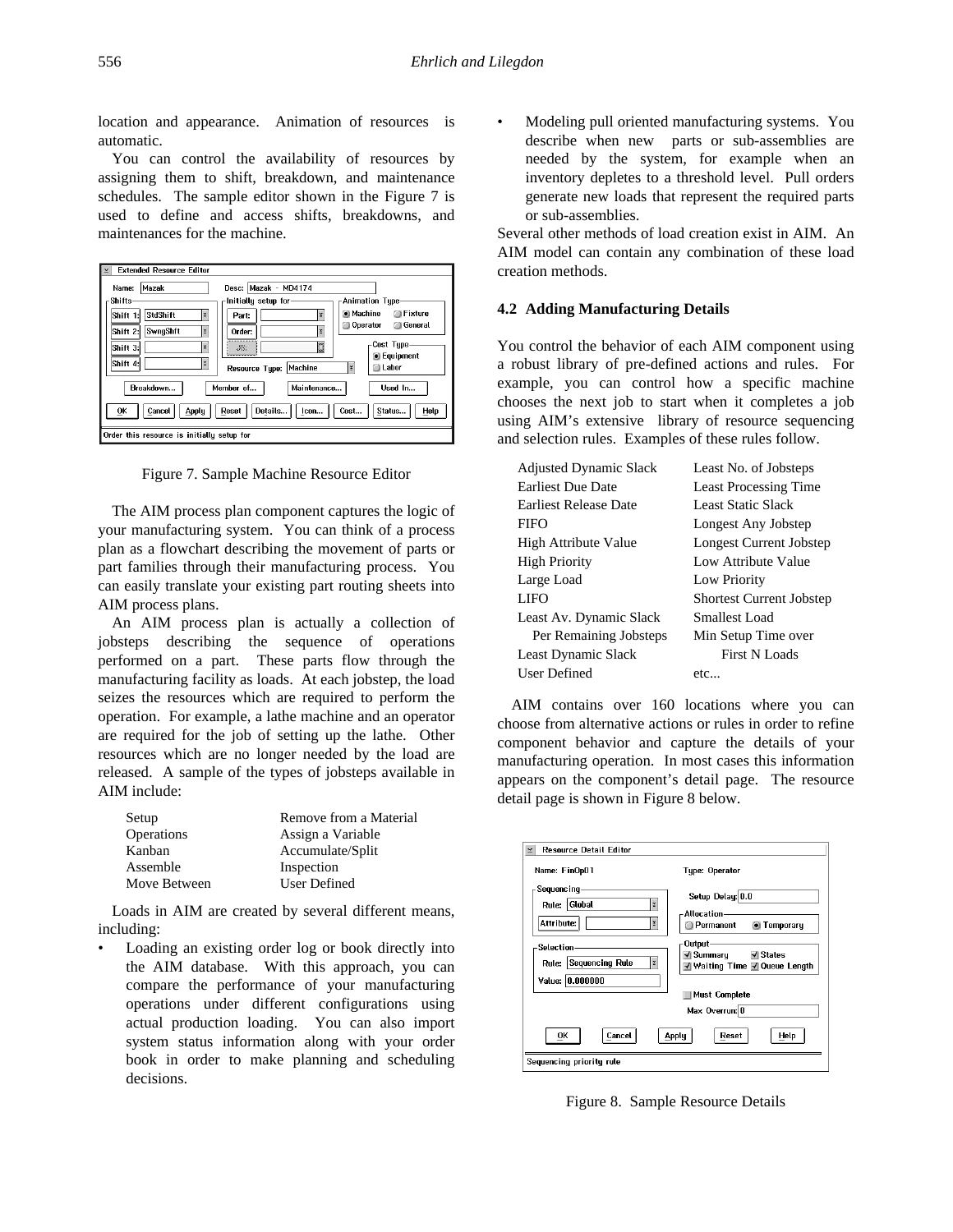location and appearance. Animation of resources is automatic.

You can control the availability of resources by assigning them to shift, breakdown, and maintenance schedules. The sample editor shown in the Figure 7 is used to define and access shifts, breakdowns, and maintenances for the machine.

| <b>Extended Resource Editor</b>            |                                      |                                                                |
|--------------------------------------------|--------------------------------------|----------------------------------------------------------------|
| Mazak<br>Name:                             | Desc: Mazak - MD4174                 |                                                                |
| -Shifts-                                   | $_{\sqsubset}$ Initially setup for — | <b>Animation Type</b>                                          |
| StdShift<br>I٣<br>Shift 1:                 | Part:<br>¥                           | <b>Machine</b><br><b>Fixture</b><br>Operator<br><b>General</b> |
| ١¥<br>Shift 2:<br>SwngShft                 | Order:                               |                                                                |
| ¥<br>Shift 3:l                             | <br>362<br>wwwww                     | -Cost Type<br><b>Equipment</b>                                 |
| Shift 4:<br>١¥                             | Resource Type: Machine               | <b>Labor</b>                                                   |
| Breakdown                                  | Member of<br>Maintenance             | Used In                                                        |
| ŌΚ<br>Apply<br>Cancel                      | Details<br>Reset<br>Icon             | Cost<br>Status<br>Help                                         |
| Order this resource is initially setup for |                                      |                                                                |

Figure 7. Sample Machine Resource Editor

The AIM process plan component captures the logic of your manufacturing system. You can think of a process plan as a flowchart describing the movement of parts or part families through their manufacturing process. You can easily translate your existing part routing sheets into AIM process plans.

An AIM process plan is actually a collection of jobsteps describing the sequence of operations performed on a part. These parts flow through the manufacturing facility as loads. At each jobstep, the load seizes the resources which are required to perform the operation. For example, a lathe machine and an operator are required for the job of setting up the lathe. Other resources which are no longer needed by the load are released. A sample of the types of jobsteps available in AIM include:

| Setup        | Remove from a Material |
|--------------|------------------------|
| Operations   | Assign a Variable      |
| Kanban       | Accumulate/Split       |
| Assemble     | Inspection             |
| Move Between | User Defined           |

Loads in AIM are created by several different means, including:

Loading an existing order log or book directly into the AIM database. With this approach, you can compare the performance of your manufacturing operations under different configurations using actual production loading. You can also import system status information along with your order book in order to make planning and scheduling decisions.

• Modeling pull oriented manufacturing systems. You describe when new parts or sub-assemblies are needed by the system, for example when an inventory depletes to a threshold level. Pull orders generate new loads that represent the required parts or sub-assemblies.

Several other methods of load creation exist in AIM. An AIM model can contain any combination of these load creation methods.

## **4.2 Adding Manufacturing Details**

You control the behavior of each AIM component using a robust library of pre-defined actions and rules. For example, you can control how a specific machine chooses the next job to start when it completes a job using AIM's extensive library of resource sequencing and selection rules. Examples of these rules follow.

| <b>Adjusted Dynamic Slack</b> | Least No. of Jobsteps           |
|-------------------------------|---------------------------------|
| <b>Earliest Due Date</b>      | <b>Least Processing Time</b>    |
| Earliest Release Date         | Least Static Slack              |
| <b>FIFO</b>                   | Longest Any Jobstep             |
| High Attribute Value          | Longest Current Jobstep         |
| <b>High Priority</b>          | Low Attribute Value             |
| Large Load                    | Low Priority                    |
| LIFO                          | <b>Shortest Current Jobstep</b> |
| Least Av. Dynamic Slack       | Smallest Load                   |
| Per Remaining Jobsteps        | Min Setup Time over             |
| Least Dynamic Slack           | <b>First N Loads</b>            |
| User Defined                  | etc                             |

AIM contains over 160 locations where you can choose from alternative actions or rules in order to refine component behavior and capture the details of your manufacturing operation. In most cases this information appears on the component's detail page. The resource detail page is shown in Figure 8 below.

| Name: FinOpO1                                                | Type: Operator                                                     |
|--------------------------------------------------------------|--------------------------------------------------------------------|
| -Sequencing-<br>¥<br>Rule: Global<br>¥<br>Attribute:         | Setup Delay: 0.0<br>Allocation-<br>Permanent C Temporary           |
| -Selection-<br>¥<br>Rule: Sequencing Rule<br>Value: 0.000000 | -Output-<br>✔ Summary    ▼ States<br>√ Waiting Time √ Queue Length |
|                                                              | <b>Must Complete</b>                                               |
|                                                              | Max Overrun: 0                                                     |
| 0K<br>Cancel                                                 | Help<br>Apply<br>Reset                                             |

Figure 8. Sample Resource Details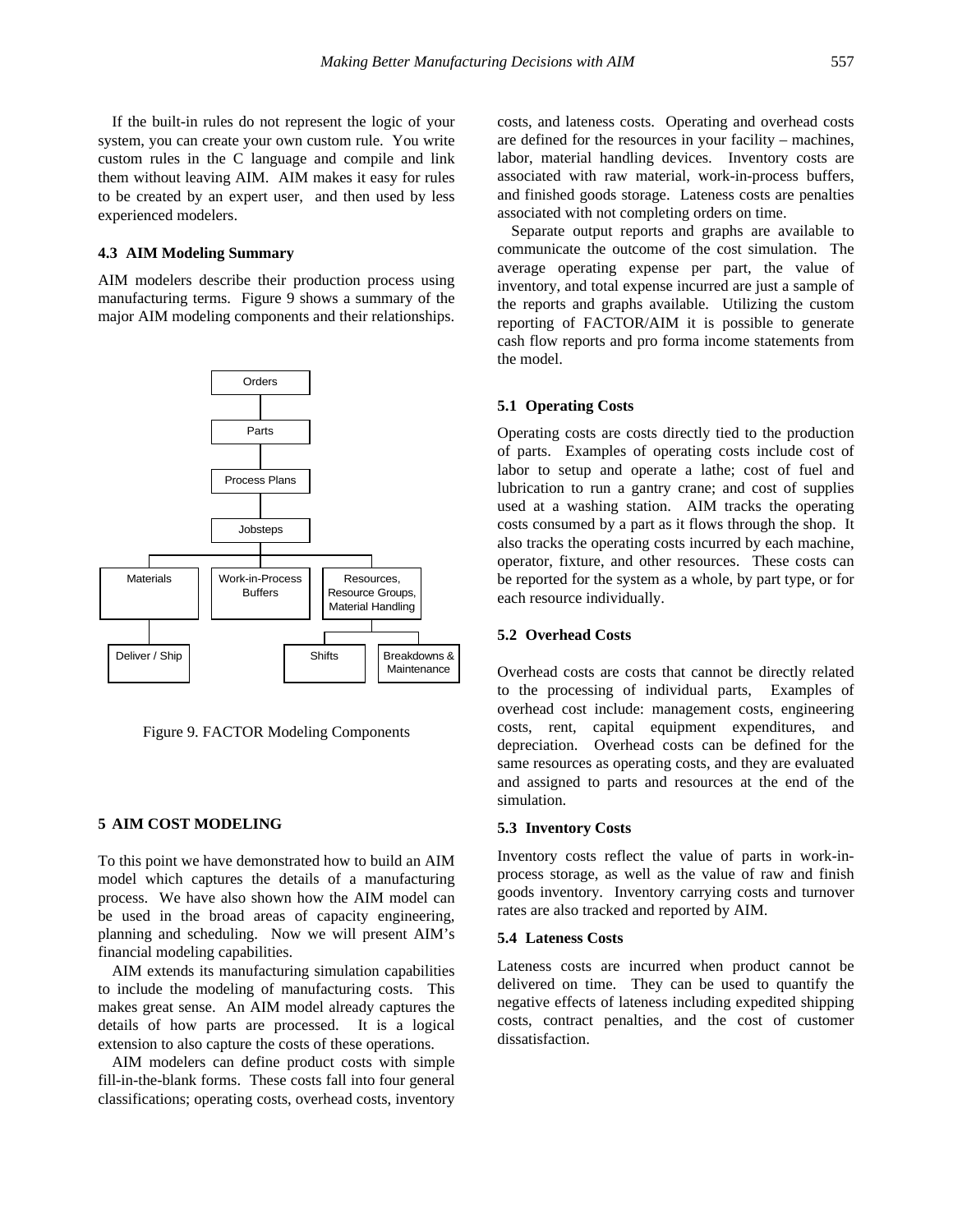If the built-in rules do not represent the logic of your system, you can create your own custom rule. You write custom rules in the C language and compile and link them without leaving AIM. AIM makes it easy for rules to be created by an expert user, and then used by less experienced modelers.

#### **4.3 AIM Modeling Summary**

AIM modelers describe their production process using manufacturing terms. Figure 9 shows a summary of the major AIM modeling components and their relationships.



Figure 9. FACTOR Modeling Components

## **5 AIM COST MODELING**

To this point we have demonstrated how to build an AIM model which captures the details of a manufacturing process. We have also shown how the AIM model can be used in the broad areas of capacity engineering, planning and scheduling. Now we will present AIM's financial modeling capabilities.

 AIM extends its manufacturing simulation capabilities to include the modeling of manufacturing costs. This makes great sense. An AIM model already captures the details of how parts are processed. It is a logical extension to also capture the costs of these operations.

AIM modelers can define product costs with simple fill-in-the-blank forms. These costs fall into four general classifications; operating costs, overhead costs, inventory

costs, and lateness costs. Operating and overhead costs are defined for the resources in your facility – machines, labor, material handling devices. Inventory costs are associated with raw material, work-in-process buffers, and finished goods storage. Lateness costs are penalties associated with not completing orders on time.

Separate output reports and graphs are available to communicate the outcome of the cost simulation. The average operating expense per part, the value of inventory, and total expense incurred are just a sample of the reports and graphs available. Utilizing the custom reporting of FACTOR/AIM it is possible to generate cash flow reports and pro forma income statements from the model.

#### **5.1 Operating Costs**

Operating costs are costs directly tied to the production of parts. Examples of operating costs include cost of labor to setup and operate a lathe; cost of fuel and lubrication to run a gantry crane; and cost of supplies used at a washing station. AIM tracks the operating costs consumed by a part as it flows through the shop. It also tracks the operating costs incurred by each machine, operator, fixture, and other resources. These costs can be reported for the system as a whole, by part type, or for each resource individually.

### **5.2 Overhead Costs**

Overhead costs are costs that cannot be directly related to the processing of individual parts, Examples of overhead cost include: management costs, engineering costs, rent, capital equipment expenditures, and depreciation. Overhead costs can be defined for the same resources as operating costs, and they are evaluated and assigned to parts and resources at the end of the simulation.

### **5.3 Inventory Costs**

Inventory costs reflect the value of parts in work-inprocess storage, as well as the value of raw and finish goods inventory. Inventory carrying costs and turnover rates are also tracked and reported by AIM.

### **5.4 Lateness Costs**

Lateness costs are incurred when product cannot be delivered on time. They can be used to quantify the negative effects of lateness including expedited shipping costs, contract penalties, and the cost of customer dissatisfaction.